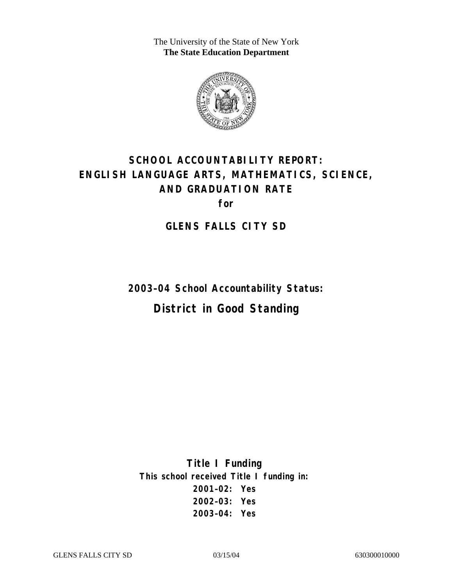The University of the State of New York **The State Education Department** 



# **SCHOOL ACCOUNTABILITY REPORT: ENGLISH LANGUAGE ARTS, MATHEMATICS, SCIENCE, AND GRADUATION RATE for**

**GLENS FALLS CITY SD** 

**2003–04 School Accountability Status: District in Good Standing** 

**Title I Funding This school received Title I funding in: 2001–02: Yes 2002–03: Yes 2003–04: Yes**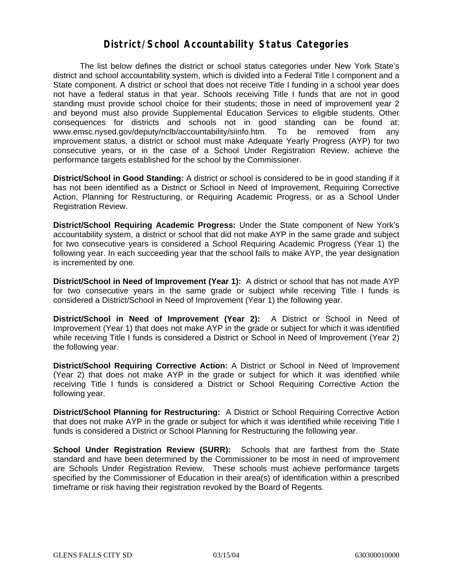#### **District/School Accountability Status Categories**

The list below defines the district or school status categories under New York State's district and school accountability system, which is divided into a Federal Title I component and a State component. A district or school that does not receive Title I funding in a school year does not have a federal status in that year. Schools receiving Title I funds that are not in good standing must provide school choice for their students; those in need of improvement year 2 and beyond must also provide Supplemental Education Services to eligible students. Other consequences for districts and schools not in good standing can be found at: www.emsc.nysed.gov/deputy/nclb/accountability/siinfo.htm. To be removed from any improvement status, a district or school must make Adequate Yearly Progress (AYP) for two consecutive years, or in the case of a School Under Registration Review, achieve the performance targets established for the school by the Commissioner.

**District/School in Good Standing:** A district or school is considered to be in good standing if it has not been identified as a District or School in Need of Improvement, Requiring Corrective Action, Planning for Restructuring, or Requiring Academic Progress, or as a School Under Registration Review.

**District/School Requiring Academic Progress:** Under the State component of New York's accountability system, a district or school that did not make AYP in the same grade and subject for two consecutive years is considered a School Requiring Academic Progress (Year 1) the following year. In each succeeding year that the school fails to make AYP, the year designation is incremented by one.

**District/School in Need of Improvement (Year 1):** A district or school that has not made AYP for two consecutive years in the same grade or subject while receiving Title I funds is considered a District/School in Need of Improvement (Year 1) the following year.

**District/School in Need of Improvement (Year 2):** A District or School in Need of Improvement (Year 1) that does not make AYP in the grade or subject for which it was identified while receiving Title I funds is considered a District or School in Need of Improvement (Year 2) the following year.

**District/School Requiring Corrective Action:** A District or School in Need of Improvement (Year 2) that does not make AYP in the grade or subject for which it was identified while receiving Title I funds is considered a District or School Requiring Corrective Action the following year.

**District/School Planning for Restructuring:** A District or School Requiring Corrective Action that does not make AYP in the grade or subject for which it was identified while receiving Title I funds is considered a District or School Planning for Restructuring the following year.

**School Under Registration Review (SURR):** Schools that are farthest from the State standard and have been determined by the Commissioner to be most in need of improvement are Schools Under Registration Review. These schools must achieve performance targets specified by the Commissioner of Education in their area(s) of identification within a prescribed timeframe or risk having their registration revoked by the Board of Regents.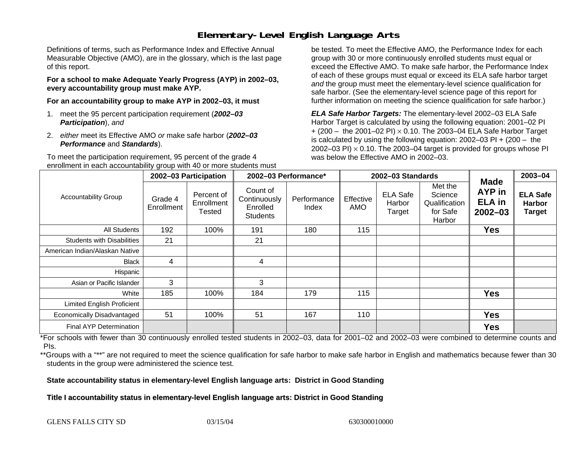## **Elementary-Level English Language Arts**

Definitions of terms, such as Performance Index and Effective Annual Measurable Objective (AMO), are in the glossary, which is the last page of this report.

**For a school to make Adequate Yearly Progress (AYP) in 2002–03, every accountability group must make AYP.** 

**For an accountability group to make AYP in 2002–03, it must** 

- 1. meet the 95 percent participation requirement (*2002–03 Participation*), *and*
- 2. *either* meet its Effective AMO *or* make safe harbor (*2002–03 Performance* and *Standards*).

To meet the participation requirement, 95 percent of the grade 4 enrollment in each accountability group with 40 or more students must

be tested. To meet the Effective AMO, the Performance Index for each group with 30 or more continuously enrolled students must equal or exceed the Effective AMO. To make safe harbor, the Performance Index of each of these groups must equal or exceed its ELA safe harbor target *and* the group must meet the elementary-level science qualification for safe harbor. (See the elementary-level science page of this report for further information on meeting the science qualification for safe harbor.)

*ELA Safe Harbor Targets:* The elementary-level 2002–03 ELA Safe Harbor Target is calculated by using the following equation: 2001–02 PI + (200 – the 2001–02 PI) <sup>×</sup> 0.10. The 2003–04 ELA Safe Harbor Target is calculated by using the following equation: 2002–03 PI + (200 – the 2002–03 PI)  $\times$  0.10. The 2003–04 target is provided for groups whose PI was below the Effective AMO in 2002–03.

|                                   |                       | 2002-03 Participation              | 2002-03 Performance*                                    |                      |                  | 2002-03 Standards                   |                                                           | 2003-04                                                      |                                                   |
|-----------------------------------|-----------------------|------------------------------------|---------------------------------------------------------|----------------------|------------------|-------------------------------------|-----------------------------------------------------------|--------------------------------------------------------------|---------------------------------------------------|
| <b>Accountability Group</b>       | Grade 4<br>Enrollment | Percent of<br>Enrollment<br>Tested | Count of<br>Continuously<br>Enrolled<br><b>Students</b> | Performance<br>Index | Effective<br>AMO | <b>ELA Safe</b><br>Harbor<br>Target | Met the<br>Science<br>Qualification<br>for Safe<br>Harbor | <b>Made</b><br><b>AYP</b> in<br><b>ELA</b> in<br>$2002 - 03$ | <b>ELA Safe</b><br><b>Harbor</b><br><b>Target</b> |
| All Students                      | 192                   | 100%                               | 191                                                     | 180                  | 115              |                                     |                                                           | <b>Yes</b>                                                   |                                                   |
| <b>Students with Disabilities</b> | 21                    |                                    | 21                                                      |                      |                  |                                     |                                                           |                                                              |                                                   |
| American Indian/Alaskan Native    |                       |                                    |                                                         |                      |                  |                                     |                                                           |                                                              |                                                   |
| <b>Black</b>                      | 4                     |                                    | 4                                                       |                      |                  |                                     |                                                           |                                                              |                                                   |
| Hispanic                          |                       |                                    |                                                         |                      |                  |                                     |                                                           |                                                              |                                                   |
| Asian or Pacific Islander         | 3                     |                                    | 3                                                       |                      |                  |                                     |                                                           |                                                              |                                                   |
| White                             | 185                   | 100%                               | 184                                                     | 179                  | 115              |                                     |                                                           | <b>Yes</b>                                                   |                                                   |
| Limited English Proficient        |                       |                                    |                                                         |                      |                  |                                     |                                                           |                                                              |                                                   |
| Economically Disadvantaged        | 51                    | 100%                               | 51                                                      | 167                  | 110              |                                     |                                                           | <b>Yes</b>                                                   |                                                   |
| Final AYP Determination           |                       |                                    |                                                         |                      |                  |                                     |                                                           | <b>Yes</b>                                                   |                                                   |

\*For schools with fewer than 30 continuously enrolled tested students in 2002–03, data for 2001–02 and 2002–03 were combined to determine counts and PIs.

\*\*Groups with a "\*\*" are not required to meet the science qualification for safe harbor to make safe harbor in English and mathematics because fewer than 30 students in the group were administered the science test.

**State accountability status in elementary-level English language arts: District in Good Standing** 

Title I accountability status in elementary-level English language arts: District in Good Standing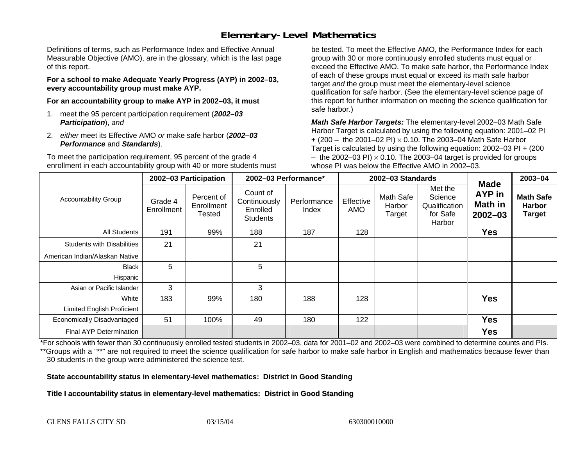## **Elementary-Level Mathematics**

Definitions of terms, such as Performance Index and Effective Annual Measurable Objective (AMO), are in the glossary, which is the last page of this report.

**For a school to make Adequate Yearly Progress (AYP) in 2002–03, every accountability group must make AYP.** 

**For an accountability group to make AYP in 2002–03, it must** 

- 1. meet the 95 percent participation requirement (*2002–03 Participation*), *and*
- 2. *either* meet its Effective AMO *or* make safe harbor (*2002–03 Performance* and *Standards*).

To meet the participation requirement, 95 percent of the grade 4 enrollment in each accountability group with 40 or more students must

be tested. To meet the Effective AMO, the Performance Index for each group with 30 or more continuously enrolled students must equal or exceed the Effective AMO. To make safe harbor, the Performance Index of each of these groups must equal or exceed its math safe harbor target *and* the group must meet the elementary-level science qualification for safe harbor. (See the elementary-level science page of this report for further information on meeting the science qualification for safe harbor.)

*Math Safe Harbor Targets:* The elementary-level 2002–03 Math Safe Harbor Target is calculated by using the following equation: 2001–02 PI + (200 – the 2001–02 PI) × 0.10. The 2003–04 Math Safe Harbor Target is calculated by using the following equation: 2002–03 PI + (200  $-$  the 2002–03 PI)  $\times$  0.10. The 2003–04 target is provided for groups whose PI was below the Effective AMO in 2002–03.

|                                   | 2002-03 Participation |                                    | 2002-03 Performance*                                    |                      |                         | 2002-03 Standards             | <b>Made</b>                                               | 2003-04                                 |                                                    |
|-----------------------------------|-----------------------|------------------------------------|---------------------------------------------------------|----------------------|-------------------------|-------------------------------|-----------------------------------------------------------|-----------------------------------------|----------------------------------------------------|
| <b>Accountability Group</b>       | Grade 4<br>Enrollment | Percent of<br>Enrollment<br>Tested | Count of<br>Continuously<br>Enrolled<br><b>Students</b> | Performance<br>Index | Effective<br><b>AMO</b> | Math Safe<br>Harbor<br>Target | Met the<br>Science<br>Qualification<br>for Safe<br>Harbor | AYP in<br><b>Math in</b><br>$2002 - 03$ | <b>Math Safe</b><br><b>Harbor</b><br><b>Target</b> |
| <b>All Students</b>               | 191                   | 99%                                | 188                                                     | 187                  | 128                     |                               |                                                           | <b>Yes</b>                              |                                                    |
| <b>Students with Disabilities</b> | 21                    |                                    | 21                                                      |                      |                         |                               |                                                           |                                         |                                                    |
| American Indian/Alaskan Native    |                       |                                    |                                                         |                      |                         |                               |                                                           |                                         |                                                    |
| <b>Black</b>                      | 5                     |                                    | 5                                                       |                      |                         |                               |                                                           |                                         |                                                    |
| Hispanic                          |                       |                                    |                                                         |                      |                         |                               |                                                           |                                         |                                                    |
| Asian or Pacific Islander         | 3                     |                                    | 3                                                       |                      |                         |                               |                                                           |                                         |                                                    |
| White                             | 183                   | 99%                                | 180                                                     | 188                  | 128                     |                               |                                                           | <b>Yes</b>                              |                                                    |
| Limited English Proficient        |                       |                                    |                                                         |                      |                         |                               |                                                           |                                         |                                                    |
| Economically Disadvantaged        | 51                    | 100%                               | 49                                                      | 180                  | 122                     |                               |                                                           | <b>Yes</b>                              |                                                    |
| <b>Final AYP Determination</b>    |                       |                                    |                                                         |                      |                         |                               |                                                           | <b>Yes</b>                              |                                                    |

\*For schools with fewer than 30 continuously enrolled tested students in 2002–03, data for 2001–02 and 2002–03 were combined to determine counts and PIs. \*\*Groups with a "\*\*" are not required to meet the science qualification for safe harbor to make safe harbor in English and mathematics because fewer than 30 students in the group were administered the science test.

**State accountability status in elementary-level mathematics: District in Good Standing** 

Title I accountability status in elementary-level mathematics: District in Good Standing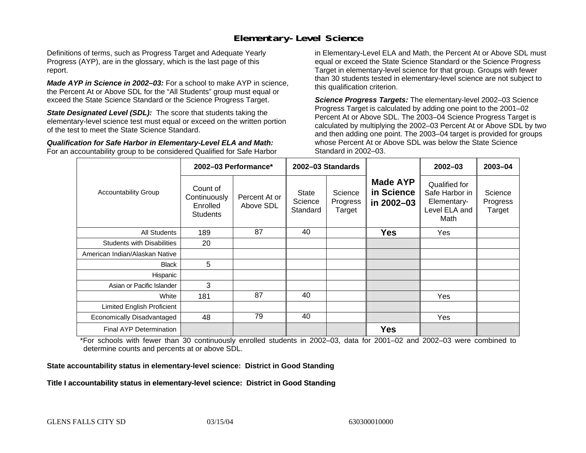### **Elementary-Level Science**

Definitions of terms, such as Progress Target and Adequate Yearly Progress (AYP), are in the glossary, which is the last page of this report.

*Made AYP in Science in 2002–03:* For a school to make AYP in science, the Percent At or Above SDL for the "All Students" group must equal or exceed the State Science Standard or the Science Progress Target.

**State Designated Level (SDL):** The score that students taking the elementary-level science test must equal or exceed on the written portion of the test to meet the State Science Standard.

*Qualification for Safe Harbor in Elementary-Level ELA and Math:* For an accountability group to be considered Qualified for Safe Harbor in Elementary-Level ELA and Math, the Percent At or Above SDL must equal or exceed the State Science Standard or the Science Progress Target in elementary-level science for that group. Groups with fewer than 30 students tested in elementary-level science are not subject to this qualification criterion.

*Science Progress Targets:* The elementary-level 2002–03 Science Progress Target is calculated by adding one point to the 2001–02 Percent At or Above SDL. The 2003–04 Science Progress Target is calculated by multiplying the 2002–03 Percent At or Above SDL by two and then adding one point. The 2003–04 target is provided for groups whose Percent At or Above SDL was below the State Science Standard in 2002–03.

|                                   |                                                         | 2002-03 Performance*       | 2002-03 Standards            |                               |                                             | $2002 - 03$                                                             | 2003-04                       |
|-----------------------------------|---------------------------------------------------------|----------------------------|------------------------------|-------------------------------|---------------------------------------------|-------------------------------------------------------------------------|-------------------------------|
| <b>Accountability Group</b>       | Count of<br>Continuously<br>Enrolled<br><b>Students</b> | Percent At or<br>Above SDL | State<br>Science<br>Standard | Science<br>Progress<br>Target | <b>Made AYP</b><br>in Science<br>in 2002-03 | Qualified for<br>Safe Harbor in<br>Elementary-<br>Level ELA and<br>Math | Science<br>Progress<br>Target |
| All Students                      | 189                                                     | 87                         | 40                           |                               | <b>Yes</b>                                  | Yes                                                                     |                               |
| <b>Students with Disabilities</b> | 20                                                      |                            |                              |                               |                                             |                                                                         |                               |
| American Indian/Alaskan Native    |                                                         |                            |                              |                               |                                             |                                                                         |                               |
| <b>Black</b>                      | 5                                                       |                            |                              |                               |                                             |                                                                         |                               |
| Hispanic                          |                                                         |                            |                              |                               |                                             |                                                                         |                               |
| Asian or Pacific Islander         | 3                                                       |                            |                              |                               |                                             |                                                                         |                               |
| White                             | 181                                                     | 87                         | 40                           |                               |                                             | <b>Yes</b>                                                              |                               |
| Limited English Proficient        |                                                         |                            |                              |                               |                                             |                                                                         |                               |
| Economically Disadvantaged        | 48                                                      | 79                         | 40                           |                               |                                             | Yes                                                                     |                               |
| <b>Final AYP Determination</b>    |                                                         |                            |                              |                               | <b>Yes</b>                                  |                                                                         |                               |

\*For schools with fewer than 30 continuously enrolled students in 2002–03, data for 2001–02 and 2002–03 were combined to determine counts and percents at or above SDL.

#### **State accountability status in elementary-level science: District in Good Standing**

#### Title I accountability status in elementary-level science: District in Good Standing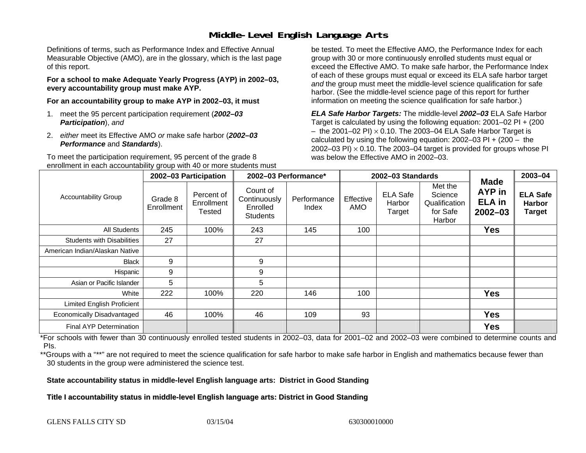### **Middle-Level English Language Arts**

Definitions of terms, such as Performance Index and Effective Annual Measurable Objective (AMO), are in the glossary, which is the last page of this report.

**For a school to make Adequate Yearly Progress (AYP) in 2002–03, every accountability group must make AYP.** 

**For an accountability group to make AYP in 2002–03, it must** 

- 1. meet the 95 percent participation requirement (*2002–03 Participation*), *and*
- 2. *either* meet its Effective AMO *or* make safe harbor (*2002–03 Performance* and *Standards*).

To meet the participation requirement, 95 percent of the grade 8 enrollment in each accountability group with 40 or more students must

be tested. To meet the Effective AMO, the Performance Index for each group with 30 or more continuously enrolled students must equal or exceed the Effective AMO. To make safe harbor, the Performance Index of each of these groups must equal or exceed its ELA safe harbor target *and* the group must meet the middle-level science qualification for safe harbor. (See the middle-level science page of this report for further information on meeting the science qualification for safe harbor.)

*ELA Safe Harbor Targets:* The middle-level *2002–03* ELA Safe Harbor Target is calculated by using the following equation: 2001–02 PI + (200  $-$  the 2001–02 PI)  $\times$  0.10. The 2003–04 ELA Safe Harbor Target is  $\,$ calculated by using the following equation:  $2002-03$  PI +  $(200 -$  the 2002–03 PI)  $\times$  0.10. The 2003–04 target is provided for groups whose PI was below the Effective AMO in 2002–03.

|                                   | 2002-03 Participation |                                    | 2002-03 Performance*                                    |                      |                  | 2002-03 Standards                   | <b>Made</b>                                               | 2003-04                                       |                                                   |
|-----------------------------------|-----------------------|------------------------------------|---------------------------------------------------------|----------------------|------------------|-------------------------------------|-----------------------------------------------------------|-----------------------------------------------|---------------------------------------------------|
| <b>Accountability Group</b>       | Grade 8<br>Enrollment | Percent of<br>Enrollment<br>Tested | Count of<br>Continuously<br>Enrolled<br><b>Students</b> | Performance<br>Index | Effective<br>AMO | <b>ELA Safe</b><br>Harbor<br>Target | Met the<br>Science<br>Qualification<br>for Safe<br>Harbor | <b>AYP</b> in<br><b>ELA</b> in<br>$2002 - 03$ | <b>ELA Safe</b><br><b>Harbor</b><br><b>Target</b> |
| <b>All Students</b>               | 245                   | 100%                               | 243                                                     | 145                  | 100              |                                     |                                                           | <b>Yes</b>                                    |                                                   |
| <b>Students with Disabilities</b> | 27                    |                                    | 27                                                      |                      |                  |                                     |                                                           |                                               |                                                   |
| American Indian/Alaskan Native    |                       |                                    |                                                         |                      |                  |                                     |                                                           |                                               |                                                   |
| <b>Black</b>                      | 9                     |                                    | 9                                                       |                      |                  |                                     |                                                           |                                               |                                                   |
| Hispanic                          | 9                     |                                    | 9                                                       |                      |                  |                                     |                                                           |                                               |                                                   |
| Asian or Pacific Islander         | 5                     |                                    | 5                                                       |                      |                  |                                     |                                                           |                                               |                                                   |
| White                             | 222                   | 100%                               | 220                                                     | 146                  | 100              |                                     |                                                           | <b>Yes</b>                                    |                                                   |
| <b>Limited English Proficient</b> |                       |                                    |                                                         |                      |                  |                                     |                                                           |                                               |                                                   |
| Economically Disadvantaged        | 46                    | 100%                               | 46                                                      | 109                  | 93               |                                     |                                                           | <b>Yes</b>                                    |                                                   |
| <b>Final AYP Determination</b>    |                       |                                    |                                                         |                      |                  |                                     |                                                           | <b>Yes</b>                                    |                                                   |

\*For schools with fewer than 30 continuously enrolled tested students in 2002–03, data for 2001–02 and 2002–03 were combined to determine counts and PIs.

\*\*Groups with a "\*\*" are not required to meet the science qualification for safe harbor to make safe harbor in English and mathematics because fewer than 30 students in the group were administered the science test.

**State accountability status in middle-level English language arts: District in Good Standing** 

Title I accountability status in middle-level English language arts: District in Good Standing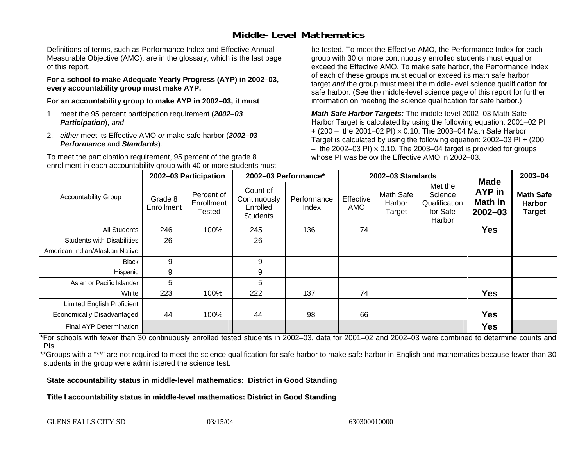### **Middle-Level Mathematics**

Definitions of terms, such as Performance Index and Effective Annual Measurable Objective (AMO), are in the glossary, which is the last page of this report.

**For a school to make Adequate Yearly Progress (AYP) in 2002–03, every accountability group must make AYP.** 

**For an accountability group to make AYP in 2002–03, it must** 

- 1. meet the 95 percent participation requirement (*2002–03 Participation*), *and*
- 2. *either* meet its Effective AMO *or* make safe harbor (*2002–03 Performance* and *Standards*).

To meet the participation requirement, 95 percent of the grade 8 enrollment in each accountability group with 40 or more students must

be tested. To meet the Effective AMO, the Performance Index for each group with 30 or more continuously enrolled students must equal or exceed the Effective AMO. To make safe harbor, the Performance Index of each of these groups must equal or exceed its math safe harbor target *and* the group must meet the middle-level science qualification for safe harbor. (See the middle-level science page of this report for further information on meeting the science qualification for safe harbor.)

*Math Safe Harbor Targets:* The middle-level 2002–03 Math Safe Harbor Target is calculated by using the following equation: 2001–02 PI + (200 – the 2001–02 PI) × 0.10. The 2003–04 Math Safe Harbor Target is calculated by using the following equation: 2002–03 PI + (200  $-$  the 2002–03 PI)  $\times$  0.10. The 2003–04 target is provided for groups whose PI was below the Effective AMO in 2002–03

|                                   | 2002-03 Participation |                                           | 2002-03 Performance*                                    |                      |                  | 2002-03 Standards             |                                                           | $2003 - 04$                                            |                                                    |
|-----------------------------------|-----------------------|-------------------------------------------|---------------------------------------------------------|----------------------|------------------|-------------------------------|-----------------------------------------------------------|--------------------------------------------------------|----------------------------------------------------|
| <b>Accountability Group</b>       | Grade 8<br>Enrollment | Percent of<br>Enrollment<br><b>Tested</b> | Count of<br>Continuously<br>Enrolled<br><b>Students</b> | Performance<br>Index | Effective<br>AMO | Math Safe<br>Harbor<br>Target | Met the<br>Science<br>Qualification<br>for Safe<br>Harbor | <b>Made</b><br><b>AYP</b> in<br>Math in<br>$2002 - 03$ | <b>Math Safe</b><br><b>Harbor</b><br><b>Target</b> |
| All Students                      | 246                   | 100%                                      | 245                                                     | 136                  | 74               |                               |                                                           | <b>Yes</b>                                             |                                                    |
| <b>Students with Disabilities</b> | 26                    |                                           | 26                                                      |                      |                  |                               |                                                           |                                                        |                                                    |
| American Indian/Alaskan Native    |                       |                                           |                                                         |                      |                  |                               |                                                           |                                                        |                                                    |
| <b>Black</b>                      | 9                     |                                           | 9                                                       |                      |                  |                               |                                                           |                                                        |                                                    |
| Hispanic                          | 9                     |                                           | 9                                                       |                      |                  |                               |                                                           |                                                        |                                                    |
| Asian or Pacific Islander         | 5                     |                                           | 5                                                       |                      |                  |                               |                                                           |                                                        |                                                    |
| White                             | 223                   | 100%                                      | 222                                                     | 137                  | 74               |                               |                                                           | <b>Yes</b>                                             |                                                    |
| <b>Limited English Proficient</b> |                       |                                           |                                                         |                      |                  |                               |                                                           |                                                        |                                                    |
| Economically Disadvantaged        | 44                    | 100%                                      | 44                                                      | 98                   | 66               |                               |                                                           | <b>Yes</b>                                             |                                                    |
| Final AYP Determination           |                       |                                           |                                                         |                      |                  |                               |                                                           | <b>Yes</b>                                             |                                                    |

\*For schools with fewer than 30 continuously enrolled tested students in 2002–03, data for 2001–02 and 2002–03 were combined to determine counts and PIs.

\*\*Groups with a "\*\*" are not required to meet the science qualification for safe harbor to make safe harbor in English and mathematics because fewer than 30 students in the group were administered the science test.

**State accountability status in middle-level mathematics: District in Good Standing** 

Title I accountability status in middle-level mathematics: District in Good Standing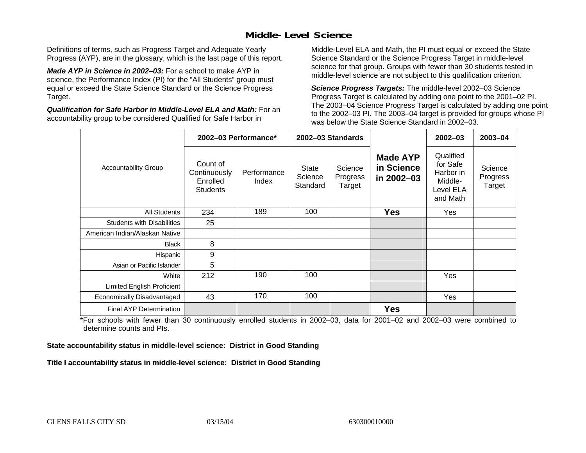### **Middle-Level Science**

Definitions of terms, such as Progress Target and Adequate Yearly Progress (AYP), are in the glossary, which is the last page of this report.

*Made AYP in Science in 2002–03:* For a school to make AYP in science, the Performance Index (PI) for the "All Students" group must equal or exceed the State Science Standard or the Science Progress Target.

*Qualification for Safe Harbor in Middle-Level ELA and Math:* For an accountability group to be considered Qualified for Safe Harbor in

Middle-Level ELA and Math, the PI must equal or exceed the State Science Standard or the Science Progress Target in middle-level science for that group. Groups with fewer than 30 students tested in middle-level science are not subject to this qualification criterion.

*Science Progress Targets:* The middle-level 2002–03 Science Progress Target is calculated by adding one point to the 2001–02 PI. The 2003–04 Science Progress Target is calculated by adding one point to the 2002–03 PI. The 2003–04 target is provided for groups whose PI was below the State Science Standard in 2002–03.

|                                   | 2002-03 Performance*                                    |                      |                                     | 2002-03 Standards             |                                             | $2002 - 03$                                                            | $2003 - 04$                   |
|-----------------------------------|---------------------------------------------------------|----------------------|-------------------------------------|-------------------------------|---------------------------------------------|------------------------------------------------------------------------|-------------------------------|
| <b>Accountability Group</b>       | Count of<br>Continuously<br>Enrolled<br><b>Students</b> | Performance<br>Index | <b>State</b><br>Science<br>Standard | Science<br>Progress<br>Target | <b>Made AYP</b><br>in Science<br>in 2002-03 | Qualified<br>for Safe<br>Harbor in<br>Middle-<br>Level ELA<br>and Math | Science<br>Progress<br>Target |
| <b>All Students</b>               | 234                                                     | 189                  | 100                                 |                               | <b>Yes</b>                                  | Yes                                                                    |                               |
| <b>Students with Disabilities</b> | 25                                                      |                      |                                     |                               |                                             |                                                                        |                               |
| American Indian/Alaskan Native    |                                                         |                      |                                     |                               |                                             |                                                                        |                               |
| <b>Black</b>                      | 8                                                       |                      |                                     |                               |                                             |                                                                        |                               |
| Hispanic                          | 9                                                       |                      |                                     |                               |                                             |                                                                        |                               |
| Asian or Pacific Islander         | 5                                                       |                      |                                     |                               |                                             |                                                                        |                               |
| White                             | 212                                                     | 190                  | 100                                 |                               |                                             | Yes                                                                    |                               |
| Limited English Proficient        |                                                         |                      |                                     |                               |                                             |                                                                        |                               |
| Economically Disadvantaged        | 43                                                      | 170                  | 100                                 |                               |                                             | Yes                                                                    |                               |
| <b>Final AYP Determination</b>    |                                                         |                      |                                     |                               | <b>Yes</b>                                  |                                                                        |                               |

\*For schools with fewer than 30 continuously enrolled students in 2002–03, data for 2001–02 and 2002–03 were combined to determine counts and PIs.

**State accountability status in middle-level science: District in Good Standing** 

Title I accountability status in middle-level science: District in Good Standing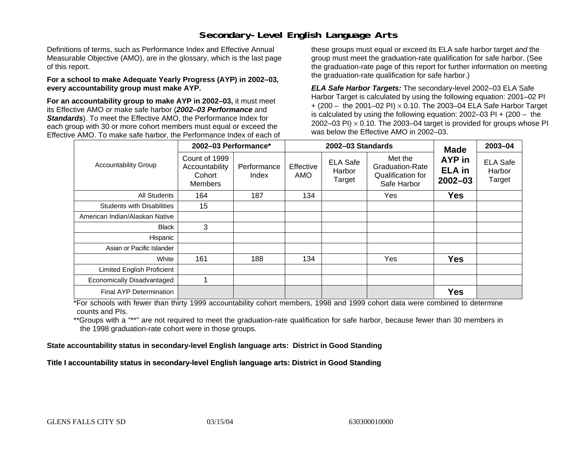### **Secondary-Level English Language Arts**

Definitions of terms, such as Performance Index and Effective Annual Measurable Objective (AMO), are in the glossary, which is the last page of this report.

#### **For a school to make Adequate Yearly Progress (AYP) in 2002–03, every accountability group must make AYP.**

**For an accountability group to make AYP in 2002–03,** it must meet its Effective AMO *or* make safe harbor (*2002–03 Performance* and *Standards*). To meet the Effective AMO, the Performance Index for each group with 30 or more cohort members must equal or exceed the Effective AMO. To make safe harbor, the Performance Index of each of these groups must equal or exceed its ELA safe harbor target *and* the group must meet the graduation-rate qualification for safe harbor. (See the graduation-rate page of this report for further information on meeting the graduation-rate qualification for safe harbor.)

*ELA Safe Harbor Targets:* The secondary-level 2002–03 ELA Safe Harbor Target is calculated by using the following equation: 2001–02 PI + (200 – the 2001–02 PI) <sup>×</sup> 0.10. The 2003–04 ELA Safe Harbor Target is calculated by using the following equation: 2002–03 PI + (200 – the 2002–03 PI)  $\times$  0.10. The 2003–04 target is provided for groups whose PI was below the Effective AMO in 2002–03.

|                                   | 2002-03 Performance*                                        |                                                                                 |     | 2002-03 Standards                                                     | <b>Made</b>                            | 2003-04                             |  |
|-----------------------------------|-------------------------------------------------------------|---------------------------------------------------------------------------------|-----|-----------------------------------------------------------------------|----------------------------------------|-------------------------------------|--|
| <b>Accountability Group</b>       | Count of 1999<br>Accountability<br>Cohort<br><b>Members</b> | <b>ELA Safe</b><br>Effective<br>Performance<br>Harbor<br>AMO<br>Index<br>Target |     | Met the<br><b>Graduation-Rate</b><br>Qualification for<br>Safe Harbor | AYP in<br><b>ELA in</b><br>$2002 - 03$ | <b>ELA Safe</b><br>Harbor<br>Target |  |
| <b>All Students</b>               | 164                                                         | 187                                                                             | 134 |                                                                       | Yes                                    | <b>Yes</b>                          |  |
| <b>Students with Disabilities</b> | 15                                                          |                                                                                 |     |                                                                       |                                        |                                     |  |
| American Indian/Alaskan Native    |                                                             |                                                                                 |     |                                                                       |                                        |                                     |  |
| <b>Black</b>                      | 3                                                           |                                                                                 |     |                                                                       |                                        |                                     |  |
| Hispanic                          |                                                             |                                                                                 |     |                                                                       |                                        |                                     |  |
| Asian or Pacific Islander         |                                                             |                                                                                 |     |                                                                       |                                        |                                     |  |
| White                             | 161                                                         | 188                                                                             | 134 |                                                                       | Yes                                    | <b>Yes</b>                          |  |
| Limited English Proficient        |                                                             |                                                                                 |     |                                                                       |                                        |                                     |  |
| Economically Disadvantaged        |                                                             |                                                                                 |     |                                                                       |                                        |                                     |  |
| Final AYP Determination           |                                                             |                                                                                 |     |                                                                       |                                        | <b>Yes</b>                          |  |

\*For schools with fewer than thirty 1999 accountability cohort members, 1998 and 1999 cohort data were combined to determine counts and PIs.

\*\*Groups with a "\*\*" are not required to meet the graduation-rate qualification for safe harbor, because fewer than 30 members in the 1998 graduation-rate cohort were in those groups.

**State accountability status in secondary-level English language arts: District in Good Standing** 

Title I accountability status in secondary-level English language arts: District in Good Standing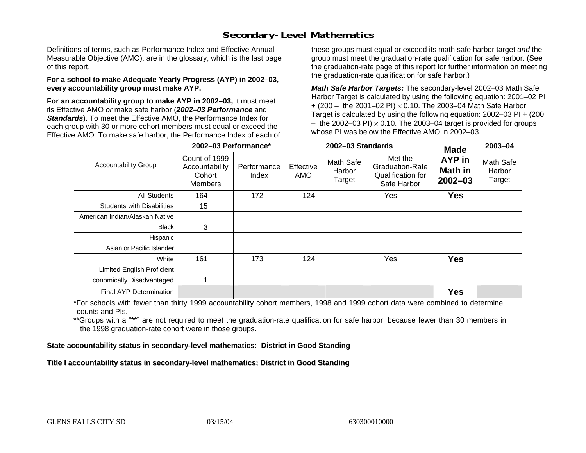### **Secondary-Level Mathematics**

Definitions of terms, such as Performance Index and Effective Annual Measurable Objective (AMO), are in the glossary, which is the last page of this report.

#### **For a school to make Adequate Yearly Progress (AYP) in 2002–03, every accountability group must make AYP.**

**For an accountability group to make AYP in 2002–03,** it must meet its Effective AMO *or* make safe harbor (*2002–03 Performance* and *Standards*). To meet the Effective AMO, the Performance Index for each group with 30 or more cohort members must equal or exceed the Effective AMO. To make safe harbor, the Performance Index of each of these groups must equal or exceed its math safe harbor target *and* the group must meet the graduation-rate qualification for safe harbor. (See the graduation-rate page of this report for further information on meeting the graduation-rate qualification for safe harbor.)

*Math Safe Harbor Targets:* The secondary-level 2002–03 Math Safe Harbor Target is calculated by using the following equation: 2001–02 PI + (200 – the 2001–02 PI) × 0.10. The 2003–04 Math Safe Harbor Target is calculated by using the following equation: 2002–03 PI + (200  $-$  the 2002–03 PI)  $\times$  0.10. The 2003–04 target is provided for groups whose PI was below the Effective AMO in 2002–03.

|                                   | 2002-03 Performance*                                 |                      |                         | 2002-03 Standards                                                                                      | <b>Made</b> | 2003-04                                 |                               |
|-----------------------------------|------------------------------------------------------|----------------------|-------------------------|--------------------------------------------------------------------------------------------------------|-------------|-----------------------------------------|-------------------------------|
| <b>Accountability Group</b>       | Count of 1999<br>Accountability<br>Cohort<br>Members | Performance<br>Index | Effective<br><b>AMO</b> | Met the<br><b>Math Safe</b><br>Graduation-Rate<br>Harbor<br>Qualification for<br>Target<br>Safe Harbor |             | AYP in<br><b>Math in</b><br>$2002 - 03$ | Math Safe<br>Harbor<br>Target |
| All Students                      | 164                                                  | 172                  | 124                     |                                                                                                        | Yes         | <b>Yes</b>                              |                               |
| <b>Students with Disabilities</b> | 15                                                   |                      |                         |                                                                                                        |             |                                         |                               |
| American Indian/Alaskan Native    |                                                      |                      |                         |                                                                                                        |             |                                         |                               |
| <b>Black</b>                      | 3                                                    |                      |                         |                                                                                                        |             |                                         |                               |
| Hispanic                          |                                                      |                      |                         |                                                                                                        |             |                                         |                               |
| Asian or Pacific Islander         |                                                      |                      |                         |                                                                                                        |             |                                         |                               |
| White                             | 161                                                  | 173                  | 124                     |                                                                                                        | Yes         | <b>Yes</b>                              |                               |
| Limited English Proficient        |                                                      |                      |                         |                                                                                                        |             |                                         |                               |
| Economically Disadvantaged        |                                                      |                      |                         |                                                                                                        |             |                                         |                               |
| Final AYP Determination           |                                                      |                      |                         |                                                                                                        |             | <b>Yes</b>                              |                               |

\*For schools with fewer than thirty 1999 accountability cohort members, 1998 and 1999 cohort data were combined to determine counts and PIs.

\*\*Groups with a "\*\*" are not required to meet the graduation-rate qualification for safe harbor, because fewer than 30 members in the 1998 graduation-rate cohort were in those groups.

**State accountability status in secondary-level mathematics: District in Good Standing** 

Title I accountability status in secondary-level mathematics: District in Good Standing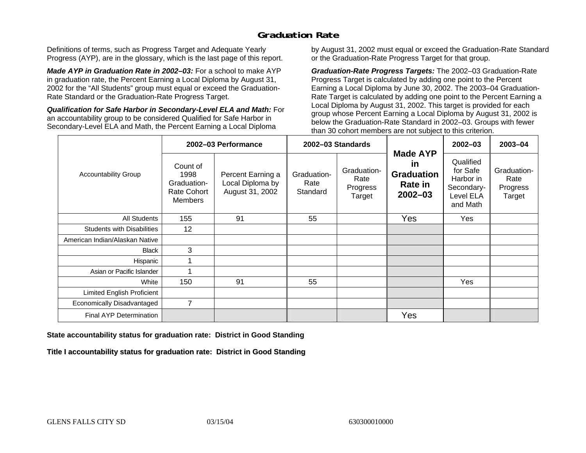## **Graduation Rate**

Definitions of terms, such as Progress Target and Adequate Yearly Progress (AYP), are in the glossary, which is the last page of this report.

*Made AYP in Graduation Rate in 2002–03:* For a school to make AYP in graduation rate, the Percent Earning a Local Diploma by August 31, 2002 for the "All Students" group must equal or exceed the Graduation-Rate Standard or the Graduation-Rate Progress Target.

*Qualification for Safe Harbor in Secondary-Level ELA and Math:* For an accountability group to be considered Qualified for Safe Harbor in Secondary-Level ELA and Math, the Percent Earning a Local Diploma

by August 31, 2002 must equal or exceed the Graduation-Rate Standard or the Graduation-Rate Progress Target for that group.

*Graduation-Rate Progress Targets:* The 2002–03 Graduation-Rate Progress Target is calculated by adding one point to the Percent Earning a Local Diploma by June 30, 2002. The 2003–04 Graduation-Rate Target is calculated by adding one point to the Percent Earning a Local Diploma by August 31, 2002. This target is provided for each group whose Percent Earning a Local Diploma by August 31, 2002 is below the Graduation-Rate Standard in 2002–03. Groups with fewer than 30 cohort members are not subject to this criterion.

|                                   |                                                                         | 2002-03 Performance                                      |                                 | 2002-03 Standards                         |                                                                             | 2002-03                                                                   | 2003-04                                   |
|-----------------------------------|-------------------------------------------------------------------------|----------------------------------------------------------|---------------------------------|-------------------------------------------|-----------------------------------------------------------------------------|---------------------------------------------------------------------------|-------------------------------------------|
| <b>Accountability Group</b>       | Count of<br>1998<br>Graduation-<br><b>Rate Cohort</b><br><b>Members</b> | Percent Earning a<br>Local Diploma by<br>August 31, 2002 | Graduation-<br>Rate<br>Standard | Graduation-<br>Rate<br>Progress<br>Target | <b>Made AYP</b><br><u>in</u><br><b>Graduation</b><br>Rate in<br>$2002 - 03$ | Qualified<br>for Safe<br>Harbor in<br>Secondary-<br>Level ELA<br>and Math | Graduation-<br>Rate<br>Progress<br>Target |
| All Students                      | 155                                                                     | 91                                                       | 55                              |                                           | Yes                                                                         | Yes                                                                       |                                           |
| <b>Students with Disabilities</b> | 12                                                                      |                                                          |                                 |                                           |                                                                             |                                                                           |                                           |
| American Indian/Alaskan Native    |                                                                         |                                                          |                                 |                                           |                                                                             |                                                                           |                                           |
| <b>Black</b>                      | 3                                                                       |                                                          |                                 |                                           |                                                                             |                                                                           |                                           |
| Hispanic                          |                                                                         |                                                          |                                 |                                           |                                                                             |                                                                           |                                           |
| Asian or Pacific Islander         |                                                                         |                                                          |                                 |                                           |                                                                             |                                                                           |                                           |
| White                             | 150                                                                     | 91                                                       | 55                              |                                           |                                                                             | Yes                                                                       |                                           |
| Limited English Proficient        |                                                                         |                                                          |                                 |                                           |                                                                             |                                                                           |                                           |
| Economically Disadvantaged        | $\overline{7}$                                                          |                                                          |                                 |                                           |                                                                             |                                                                           |                                           |
| <b>Final AYP Determination</b>    |                                                                         |                                                          |                                 |                                           | Yes                                                                         |                                                                           |                                           |

#### **State accountability status for graduation rate: District in Good Standing**

Title I accountability status for graduation rate: District in Good Standing